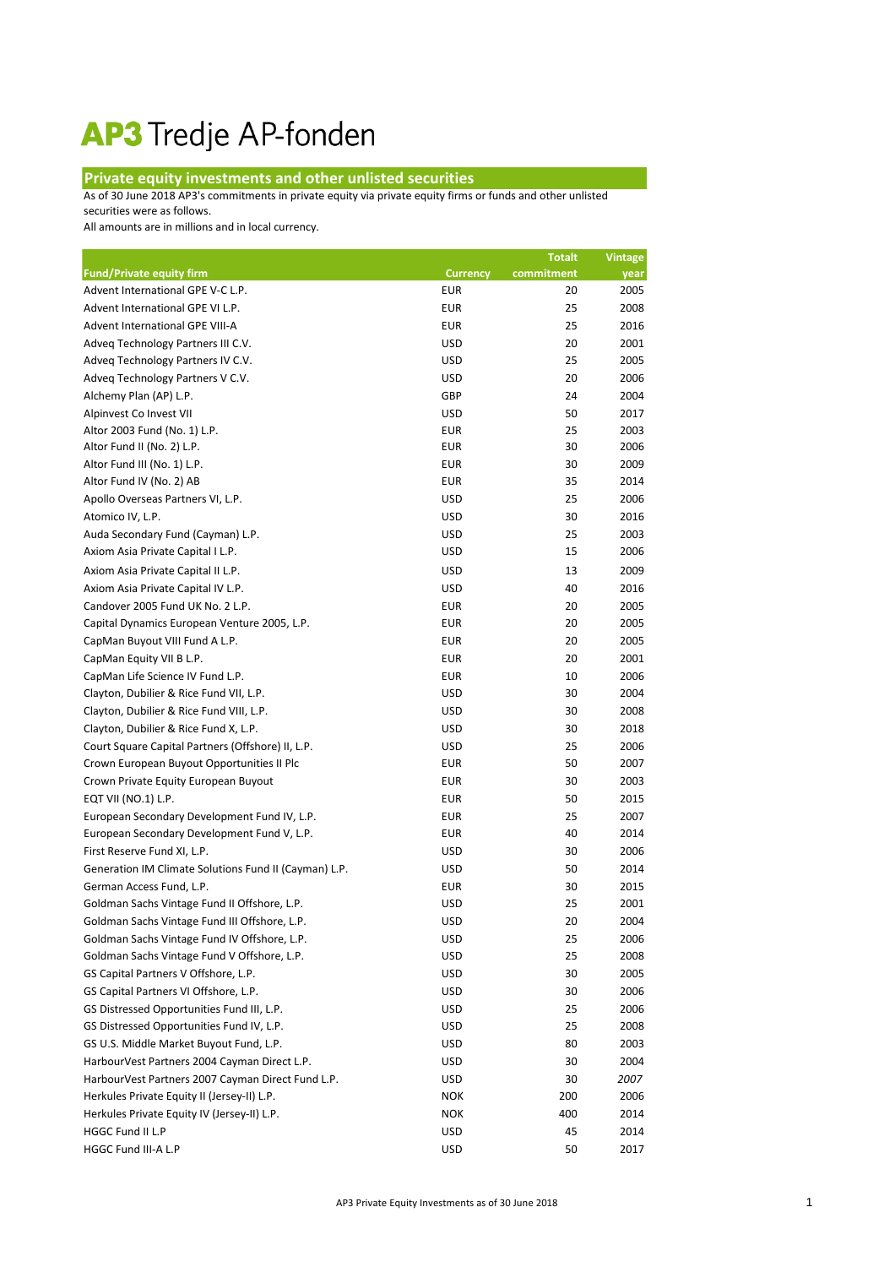## AP3 Tredje AP-fonden

## **Private equity investments and other unlisted securities**

As of 30 June 2018 AP3's commitments in private equity via private equity firms or funds and other unlisted

securities were as follows.

All amounts are in millions and in local currency.

|                                                       |                 | <b>Totalt</b> | <b>Vintage</b> |
|-------------------------------------------------------|-----------------|---------------|----------------|
| <b>Fund/Private equity firm</b>                       | <b>Currency</b> | commitment    | year           |
| Advent International GPE V-C L.P.                     | <b>EUR</b>      | 20            | 2005           |
| Advent International GPE VI L.P.                      | <b>EUR</b>      | 25            | 2008           |
| Advent International GPE VIII-A                       | <b>EUR</b>      | 25            | 2016           |
| Adveq Technology Partners III C.V.                    | <b>USD</b>      | 20            | 2001           |
| Adveq Technology Partners IV C.V.                     | <b>USD</b>      | 25            | 2005           |
| Adveq Technology Partners V C.V.                      | <b>USD</b>      | 20            | 2006           |
| Alchemy Plan (AP) L.P.                                | <b>GBP</b>      | 24            | 2004           |
| Alpinvest Co Invest VII                               | <b>USD</b>      | 50            | 2017           |
| Altor 2003 Fund (No. 1) L.P.                          | <b>EUR</b>      | 25            | 2003           |
| Altor Fund II (No. 2) L.P.                            | <b>EUR</b>      | 30            | 2006           |
| Altor Fund III (No. 1) L.P.                           | <b>EUR</b>      | 30            | 2009           |
| Altor Fund IV (No. 2) AB                              | <b>EUR</b>      | 35            | 2014           |
| Apollo Overseas Partners VI, L.P.                     | <b>USD</b>      | 25            | 2006           |
| Atomico IV, L.P.                                      | <b>USD</b>      | 30            | 2016           |
| Auda Secondary Fund (Cayman) L.P.                     | <b>USD</b>      | 25            | 2003           |
| Axiom Asia Private Capital I L.P.                     | <b>USD</b>      | 15            | 2006           |
| Axiom Asia Private Capital II L.P.                    | <b>USD</b>      | 13            | 2009           |
| Axiom Asia Private Capital IV L.P.                    | <b>USD</b>      | 40            | 2016           |
| Candover 2005 Fund UK No. 2 L.P.                      | <b>EUR</b>      | 20            | 2005           |
| Capital Dynamics European Venture 2005, L.P.          | <b>EUR</b>      | 20            | 2005           |
| CapMan Buyout VIII Fund A L.P.                        | <b>EUR</b>      | 20            | 2005           |
| CapMan Equity VII B L.P.                              | <b>EUR</b>      | 20            | 2001           |
| CapMan Life Science IV Fund L.P.                      | <b>EUR</b>      | 10            | 2006           |
| Clayton, Dubilier & Rice Fund VII, L.P.               | <b>USD</b>      | 30            | 2004           |
| Clayton, Dubilier & Rice Fund VIII, L.P.              | <b>USD</b>      | 30            | 2008           |
| Clayton, Dubilier & Rice Fund X, L.P.                 | <b>USD</b>      | 30            | 2018           |
| Court Square Capital Partners (Offshore) II, L.P.     | <b>USD</b>      | 25            | 2006           |
| Crown European Buyout Opportunities II Plc            | <b>EUR</b>      | 50            | 2007           |
| Crown Private Equity European Buyout                  | <b>EUR</b>      | 30            | 2003           |
| EQT VII (NO.1) L.P.                                   | <b>EUR</b>      | 50            | 2015           |
| European Secondary Development Fund IV, L.P.          | <b>EUR</b>      | 25            | 2007           |
| European Secondary Development Fund V, L.P.           | <b>EUR</b>      | 40            | 2014           |
| First Reserve Fund XI, L.P.                           | <b>USD</b>      | 30            | 2006           |
| Generation IM Climate Solutions Fund II (Cayman) L.P. | <b>USD</b>      | 50            | 2014           |
| German Access Fund, L.P.                              | <b>EUR</b>      | 30            | 2015           |
| Goldman Sachs Vintage Fund II Offshore, L.P.          | <b>USD</b>      | 25            | 2001           |
| Goldman Sachs Vintage Fund III Offshore, L.P.         | <b>USD</b>      | 20            | 2004           |
| Goldman Sachs Vintage Fund IV Offshore, L.P.          | <b>USD</b>      | 25            | 2006           |
| Goldman Sachs Vintage Fund V Offshore, L.P.           | <b>USD</b>      | 25            | 2008           |
| GS Capital Partners V Offshore, L.P.                  | <b>USD</b>      | 30            | 2005           |
| GS Capital Partners VI Offshore, L.P.                 | <b>USD</b>      | 30            | 2006           |
| GS Distressed Opportunities Fund III, L.P.            | <b>USD</b>      | 25            | 2006           |
| GS Distressed Opportunities Fund IV, L.P.             | <b>USD</b>      | 25            | 2008           |
| GS U.S. Middle Market Buyout Fund, L.P.               | <b>USD</b>      | 80            | 2003           |
| HarbourVest Partners 2004 Cayman Direct L.P.          | <b>USD</b>      | 30            | 2004           |
| HarbourVest Partners 2007 Cayman Direct Fund L.P.     | <b>USD</b>      | 30            | 2007           |
| Herkules Private Equity II (Jersey-II) L.P.           | <b>NOK</b>      | 200           | 2006           |
| Herkules Private Equity IV (Jersey-II) L.P.           | <b>NOK</b>      | 400           | 2014           |
| HGGC Fund II L.P                                      | <b>USD</b>      | 45            | 2014           |
| HGGC Fund III-A L.P                                   | <b>USD</b>      | 50            | 2017           |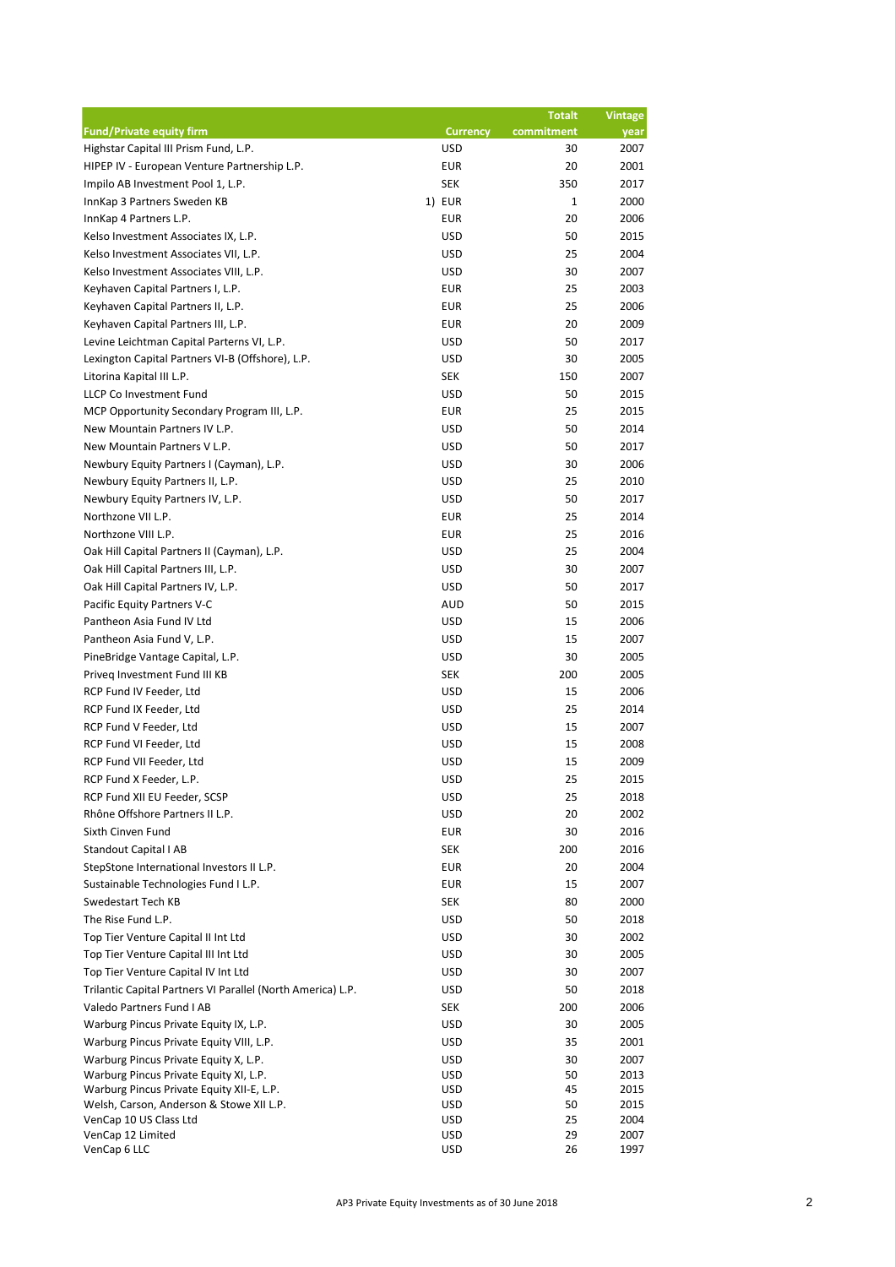|                                                             |                          | <b>Totalt</b> | <b>Vintage</b> |
|-------------------------------------------------------------|--------------------------|---------------|----------------|
| <b>Fund/Private equity firm</b>                             | <b>Currency</b>          | commitment    | year           |
| Highstar Capital III Prism Fund, L.P.                       | <b>USD</b>               | 30            | 2007           |
| HIPEP IV - European Venture Partnership L.P.                | <b>EUR</b>               | 20            | 2001           |
| Impilo AB Investment Pool 1, L.P.                           | <b>SEK</b>               | 350           | 2017           |
| InnKap 3 Partners Sweden KB                                 | 1) EUR                   | $\mathbf{1}$  | 2000           |
| InnKap 4 Partners L.P.                                      | <b>EUR</b>               | 20            | 2006           |
| Kelso Investment Associates IX, L.P.                        | <b>USD</b>               | 50            | 2015           |
| Kelso Investment Associates VII, L.P.                       | <b>USD</b>               | 25            | 2004           |
| Kelso Investment Associates VIII, L.P.                      | <b>USD</b>               | 30            | 2007           |
| Keyhaven Capital Partners I, L.P.                           | <b>EUR</b>               | 25            | 2003           |
| Keyhaven Capital Partners II, L.P.                          | <b>EUR</b>               | 25            | 2006           |
| Keyhaven Capital Partners III, L.P.                         | <b>EUR</b>               | 20            | 2009           |
| Levine Leichtman Capital Parterns VI, L.P.                  | <b>USD</b>               | 50            | 2017           |
| Lexington Capital Partners VI-B (Offshore), L.P.            | <b>USD</b>               | 30            | 2005           |
| Litorina Kapital III L.P.                                   | <b>SEK</b>               | 150           | 2007           |
| LLCP Co Investment Fund                                     | <b>USD</b>               | 50            | 2015           |
| MCP Opportunity Secondary Program III, L.P.                 | <b>EUR</b>               | 25            | 2015           |
| New Mountain Partners IV L.P.                               | <b>USD</b>               | 50            | 2014           |
| New Mountain Partners V L.P.                                | <b>USD</b>               | 50            | 2017           |
| Newbury Equity Partners I (Cayman), L.P.                    | <b>USD</b>               | 30            | 2006           |
| Newbury Equity Partners II, L.P.                            | <b>USD</b>               | 25            | 2010           |
| Newbury Equity Partners IV, L.P.                            | <b>USD</b>               | 50            | 2017           |
| Northzone VII L.P.                                          | <b>EUR</b>               | 25            | 2014           |
| Northzone VIII L.P.                                         | <b>EUR</b>               | 25            | 2016           |
| Oak Hill Capital Partners II (Cayman), L.P.                 | <b>USD</b>               | 25            | 2004           |
| Oak Hill Capital Partners III, L.P.                         | <b>USD</b>               | 30            | 2007           |
| Oak Hill Capital Partners IV, L.P.                          | <b>USD</b>               | 50            | 2017           |
| Pacific Equity Partners V-C                                 | <b>AUD</b>               | 50            | 2015           |
| Pantheon Asia Fund IV Ltd                                   | <b>USD</b>               | 15            | 2006           |
| Pantheon Asia Fund V, L.P.                                  | <b>USD</b>               | 15            | 2007           |
| PineBridge Vantage Capital, L.P.                            | <b>USD</b>               | 30            | 2005           |
| Priveg Investment Fund III KB                               | <b>SEK</b>               | 200           | 2005           |
| RCP Fund IV Feeder, Ltd                                     | <b>USD</b>               | 15            | 2006           |
| RCP Fund IX Feeder, Ltd                                     | <b>USD</b>               | 25            | 2014           |
| RCP Fund V Feeder, Ltd                                      | <b>USD</b>               | 15            | 2007           |
| RCP Fund VI Feeder, Ltd                                     | <b>USD</b>               | 15            | 2008           |
| RCP Fund VII Feeder, Ltd                                    | <b>USD</b>               | 15            | 2009           |
| RCP Fund X Feeder, L.P.                                     | <b>USD</b>               | 25            | 2015           |
| RCP Fund XII EU Feeder, SCSP                                | <b>USD</b>               | 25            | 2018           |
| Rhône Offshore Partners II L.P.                             | <b>USD</b>               | 20            | 2002           |
| Sixth Cinven Fund                                           | EUR                      | 30            | 2016           |
| <b>Standout Capital I AB</b>                                | <b>SEK</b>               | 200           | 2016           |
| StepStone International Investors II L.P.                   | <b>EUR</b>               | 20            | 2004           |
| Sustainable Technologies Fund I L.P.                        | <b>EUR</b>               | 15            | 2007           |
| Swedestart Tech KB                                          | <b>SEK</b>               | 80            | 2000           |
| The Rise Fund L.P.                                          | <b>USD</b>               | 50            | 2018           |
| Top Tier Venture Capital II Int Ltd                         | <b>USD</b>               | 30            | 2002           |
| Top Tier Venture Capital III Int Ltd                        | <b>USD</b>               | 30            | 2005           |
| Top Tier Venture Capital IV Int Ltd                         | <b>USD</b>               | 30            | 2007           |
| Trilantic Capital Partners VI Parallel (North America) L.P. | <b>USD</b>               | 50            | 2018           |
| Valedo Partners Fund I AB                                   | <b>SEK</b>               | 200           | 2006           |
| Warburg Pincus Private Equity IX, L.P.                      | <b>USD</b>               | 30            | 2005           |
| Warburg Pincus Private Equity VIII, L.P.                    | <b>USD</b>               | 35            | 2001           |
| Warburg Pincus Private Equity X, L.P.                       | <b>USD</b>               | 30            | 2007           |
| Warburg Pincus Private Equity XI, L.P.                      | <b>USD</b>               | 50            | 2013           |
| Warburg Pincus Private Equity XII-E, L.P.                   | <b>USD</b>               | 45            | 2015           |
| Welsh, Carson, Anderson & Stowe XII L.P.                    | <b>USD</b><br><b>USD</b> | 50            | 2015           |
| VenCap 10 US Class Ltd<br>VenCap 12 Limited                 | <b>USD</b>               | 25<br>29      | 2004<br>2007   |
| VenCap 6 LLC                                                | <b>USD</b>               | 26            | 1997           |